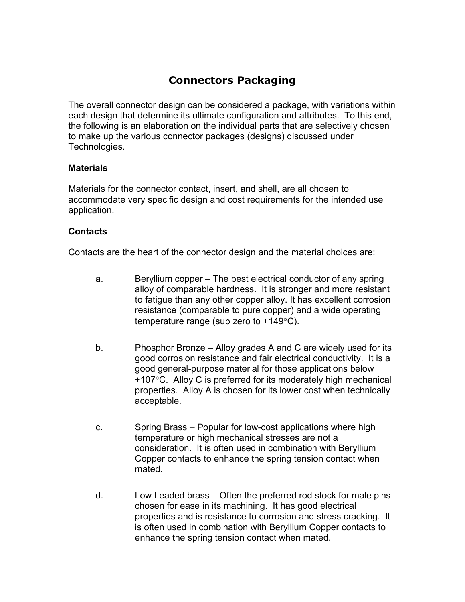# **Connectors Packaging**

The overall connector design can be considered a package, with variations within each design that determine its ultimate configuration and attributes. To this end, the following is an elaboration on the individual parts that are selectively chosen to make up the various connector packages (designs) discussed under Technologies.

### **Materials**

Materials for the connector contact, insert, and shell, are all chosen to accommodate very specific design and cost requirements for the intended use application.

## **Contacts**

Contacts are the heart of the connector design and the material choices are:

- a. Beryllium copper The best electrical conductor of any spring alloy of comparable hardness. It is stronger and more resistant to fatigue than any other copper alloy. It has excellent corrosion resistance (comparable to pure copper) and a wide operating temperature range (sub zero to +149°C).
- b. Phosphor Bronze Alloy grades A and C are widely used for its good corrosion resistance and fair electrical conductivity. It is a good general-purpose material for those applications below +107°C. Alloy C is preferred for its moderately high mechanical properties. Alloy A is chosen for its lower cost when technically acceptable.
- c. Spring Brass Popular for low-cost applications where high temperature or high mechanical stresses are not a consideration. It is often used in combination with Beryllium Copper contacts to enhance the spring tension contact when mated.
- d. Low Leaded brass Often the preferred rod stock for male pins chosen for ease in its machining. It has good electrical properties and is resistance to corrosion and stress cracking. It is often used in combination with Beryllium Copper contacts to enhance the spring tension contact when mated.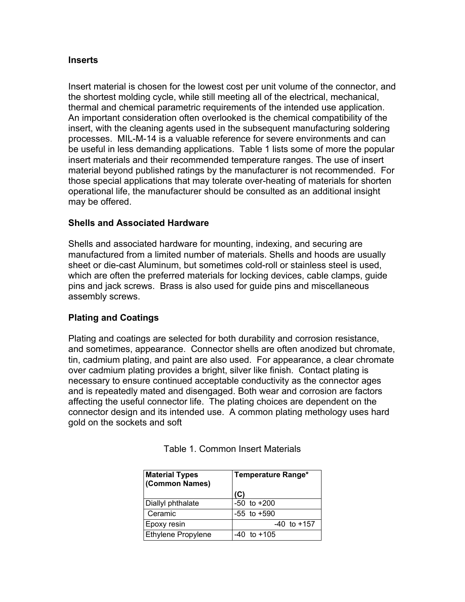#### **Inserts**

Insert material is chosen for the lowest cost per unit volume of the connector, and the shortest molding cycle, while still meeting all of the electrical, mechanical, thermal and chemical parametric requirements of the intended use application. An important consideration often overlooked is the chemical compatibility of the insert, with the cleaning agents used in the subsequent manufacturing soldering processes. MIL-M-14 is a valuable reference for severe environments and can be useful in less demanding applications. Table 1 lists some of more the popular insert materials and their recommended temperature ranges. The use of insert material beyond published ratings by the manufacturer is not recommended. For those special applications that may tolerate over-heating of materials for shorten operational life, the manufacturer should be consulted as an additional insight may be offered.

### **Shells and Associated Hardware**

Shells and associated hardware for mounting, indexing, and securing are manufactured from a limited number of materials. Shells and hoods are usually sheet or die-cast Aluminum, but sometimes cold-roll or stainless steel is used, which are often the preferred materials for locking devices, cable clamps, guide pins and jack screws. Brass is also used for guide pins and miscellaneous assembly screws.

### **Plating and Coatings**

Plating and coatings are selected for both durability and corrosion resistance, and sometimes, appearance. Connector shells are often anodized but chromate, tin, cadmium plating, and paint are also used. For appearance, a clear chromate over cadmium plating provides a bright, silver like finish. Contact plating is necessary to ensure continued acceptable conductivity as the connector ages and is repeatedly mated and disengaged. Both wear and corrosion are factors affecting the useful connector life. The plating choices are dependent on the connector design and its intended use. A common plating methology uses hard gold on the sockets and soft

| <b>Material Types</b><br>(Common Names) | Temperature Range* |
|-----------------------------------------|--------------------|
|                                         | (C)                |
| Diallyl phthalate                       | $-50$ to $+200$    |
| Ceramic                                 | $-55$ to $+590$    |
| Epoxy resin                             | $-40$ to $+157$    |
| <b>Ethylene Propylene</b>               | $-40$ to $+105$    |

Table 1. Common Insert Materials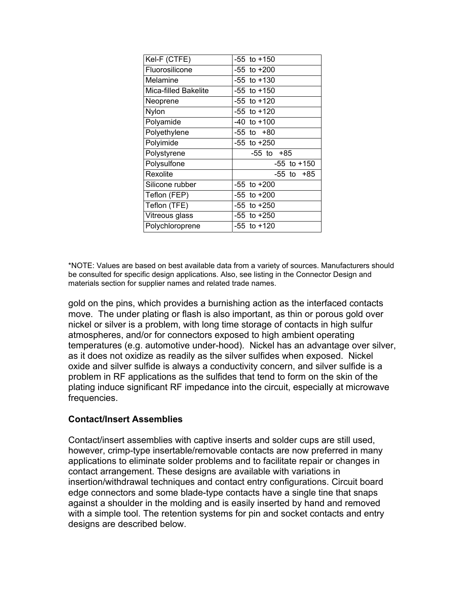| Kel-F (CTFE)         | $-55$ to $+150$ |
|----------------------|-----------------|
| Fluorosilicone       | $-55$ to $+200$ |
| Melamine             | $-55$ to $+130$ |
| Mica-filled Bakelite | $-55$ to $+150$ |
| Neoprene             | $-55$ to $+120$ |
| Nylon                | $-55$ to $+120$ |
| Polyamide            | $-40$ to $+100$ |
| Polyethylene         | -55 to +80      |
| Polyimide            | $-55$ to $+250$ |
| Polystyrene          | -55 to +85      |
| Polysulfone          | $-55$ to $+150$ |
| Rexolite             | -55 to +85      |
| Silicone rubber      | $-55$ to $+200$ |
| Teflon (FEP)         | $-55$ to $+200$ |
| Teflon (TFE)         | $-55$ to $+250$ |
| Vitreous glass       | $-55$ to $+250$ |
| Polychloroprene      | -55 to +120     |

\*NOTE: Values are based on best available data from a variety of sources. Manufacturers should be consulted for specific design applications. Also, see listing in the Connector Design and materials section for supplier names and related trade names.

gold on the pins, which provides a burnishing action as the interfaced contacts move. The under plating or flash is also important, as thin or porous gold over nickel or silver is a problem, with long time storage of contacts in high sulfur atmospheres, and/or for connectors exposed to high ambient operating temperatures (e.g. automotive under-hood). Nickel has an advantage over silver, as it does not oxidize as readily as the silver sulfides when exposed. Nickel oxide and silver sulfide is always a conductivity concern, and silver sulfide is a problem in RF applications as the sulfides that tend to form on the skin of the plating induce significant RF impedance into the circuit, especially at microwave frequencies.

### **Contact/Insert Assemblies**

Contact/insert assemblies with captive inserts and solder cups are still used, however, crimp-type insertable/removable contacts are now preferred in many applications to eliminate solder problems and to facilitate repair or changes in contact arrangement. These designs are available with variations in insertion/withdrawal techniques and contact entry configurations. Circuit board edge connectors and some blade-type contacts have a single tine that snaps against a shoulder in the molding and is easily inserted by hand and removed with a simple tool. The retention systems for pin and socket contacts and entry designs are described below.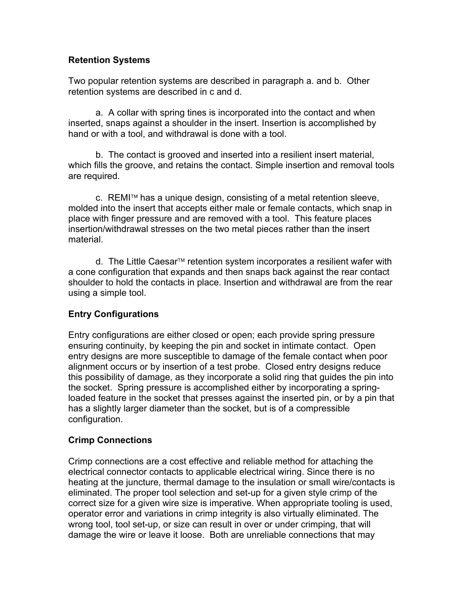## **Retention Systems**

Two popular retention systems are described in paragraph a. and b. Other retention systems are described in c and d.

a. A collar with spring tines is incorporated into the contact and when inserted, snaps against a shoulder in the insert. Insertion is accomplished by hand or with a tool, and withdrawal is done with a tool.

b. The contact is grooved and inserted into a resilient insert material, which fills the groove, and retains the contact. Simple insertion and removal tools are required.

 $c.$  REMI<sup>TM</sup> has a unique design, consisting of a metal retention sleeve, molded into the insert that accepts either male or female contacts, which snap in place with finger pressure and are removed with a tool. This feature places insertion/withdrawal stresses on the two metal pieces rather than the insert material.

d. The Little Caesar<sup>t a</sup> retention system incorporates a resilient wafer with a cone configuration that expands and then snaps back against the rear contact shoulder to hold the contacts in place. Insertion and withdrawal are from the rear using a simple tool.

## **Entry Configurations**

Entry configurations are either closed or open; each provide spring pressure ensuring continuity, by keeping the pin and socket in intimate contact. Open entry designs are more susceptible to damage of the female contact when poor alignment occurs or by insertion of a test probe. Closed entry designs reduce this possibility of damage, as they incorporate a solid ring that guides the pin into the socket. Spring pressure is accomplished either by incorporating a springloaded feature in the socket that presses against the inserted pin, or by a pin that has a slightly larger diameter than the socket, but is of a compressible configuration.

### **Crimp Connections**

Crimp connections are a cost effective and reliable method for attaching the electrical connector contacts to applicable electrical wiring. Since there is no heating at the juncture, thermal damage to the insulation or small wire/contacts is eliminated. The proper tool selection and set-up for a given style crimp of the correct size for a given wire size is imperative. When appropriate tooling is used, operator error and variations in crimp integrity is also virtually eliminated. The wrong tool, tool set-up, or size can result in over or under crimping, that will damage the wire or leave it loose. Both are unreliable connections that may